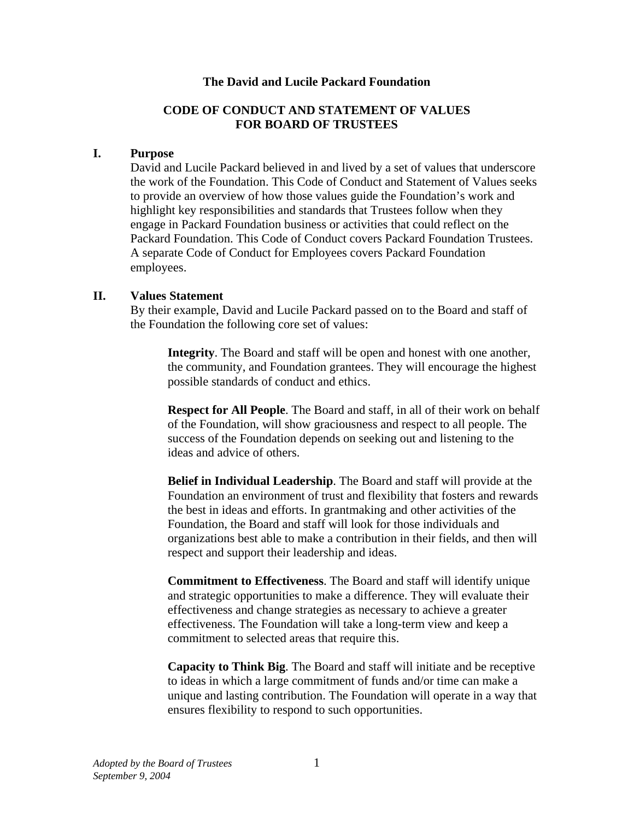#### **The David and Lucile Packard Foundation**

### **CODE OF CONDUCT AND STATEMENT OF VALUES FOR BOARD OF TRUSTEES**

#### **I. Purpose**

David and Lucile Packard believed in and lived by a set of values that underscore the work of the Foundation. This Code of Conduct and Statement of Values seeks to provide an overview of how those values guide the Foundation's work and highlight key responsibilities and standards that Trustees follow when they engage in Packard Foundation business or activities that could reflect on the Packard Foundation. This Code of Conduct covers Packard Foundation Trustees. A separate Code of Conduct for Employees covers Packard Foundation employees.

#### **II. Values Statement**

By their example, David and Lucile Packard passed on to the Board and staff of the Foundation the following core set of values:

**Integrity**. The Board and staff will be open and honest with one another, the community, and Foundation grantees. They will encourage the highest possible standards of conduct and ethics.

**Respect for All People**. The Board and staff, in all of their work on behalf of the Foundation, will show graciousness and respect to all people. The success of the Foundation depends on seeking out and listening to the ideas and advice of others.

**Belief in Individual Leadership**. The Board and staff will provide at the Foundation an environment of trust and flexibility that fosters and rewards the best in ideas and efforts. In grantmaking and other activities of the Foundation, the Board and staff will look for those individuals and organizations best able to make a contribution in their fields, and then will respect and support their leadership and ideas.

**Commitment to Effectiveness**. The Board and staff will identify unique and strategic opportunities to make a difference. They will evaluate their effectiveness and change strategies as necessary to achieve a greater effectiveness. The Foundation will take a long-term view and keep a commitment to selected areas that require this.

**Capacity to Think Big**. The Board and staff will initiate and be receptive to ideas in which a large commitment of funds and/or time can make a unique and lasting contribution. The Foundation will operate in a way that ensures flexibility to respond to such opportunities.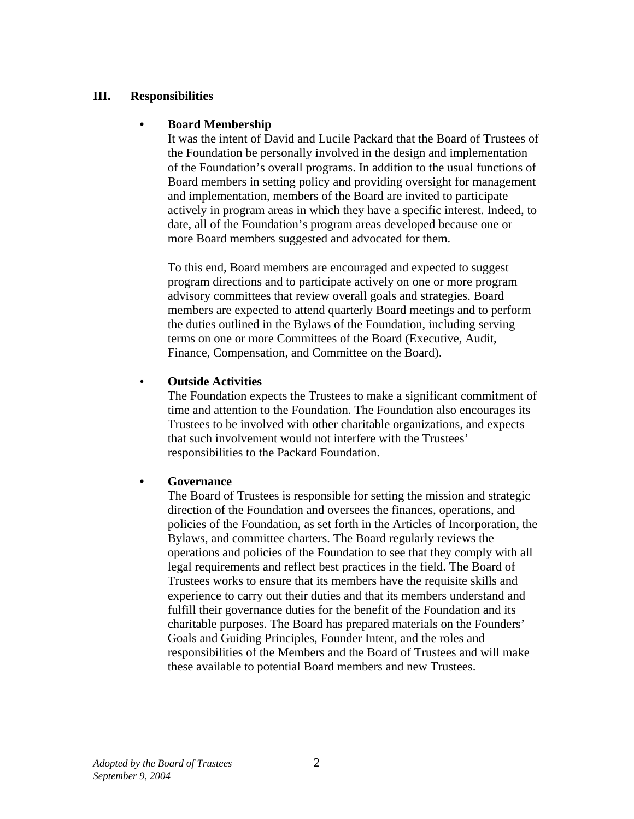### **III. Responsibilities**

#### **• Board Membership**

It was the intent of David and Lucile Packard that the Board of Trustees of the Foundation be personally involved in the design and implementation of the Foundation's overall programs. In addition to the usual functions of Board members in setting policy and providing oversight for management and implementation, members of the Board are invited to participate actively in program areas in which they have a specific interest. Indeed, to date, all of the Foundation's program areas developed because one or more Board members suggested and advocated for them.

To this end, Board members are encouraged and expected to suggest program directions and to participate actively on one or more program advisory committees that review overall goals and strategies. Board members are expected to attend quarterly Board meetings and to perform the duties outlined in the Bylaws of the Foundation, including serving terms on one or more Committees of the Board (Executive, Audit, Finance, Compensation, and Committee on the Board).

### • **Outside Activities**

The Foundation expects the Trustees to make a significant commitment of time and attention to the Foundation. The Foundation also encourages its Trustees to be involved with other charitable organizations, and expects that such involvement would not interfere with the Trustees' responsibilities to the Packard Foundation.

### **• Governance**

The Board of Trustees is responsible for setting the mission and strategic direction of the Foundation and oversees the finances, operations, and policies of the Foundation, as set forth in the Articles of Incorporation, the Bylaws, and committee charters. The Board regularly reviews the operations and policies of the Foundation to see that they comply with all legal requirements and reflect best practices in the field. The Board of Trustees works to ensure that its members have the requisite skills and experience to carry out their duties and that its members understand and fulfill their governance duties for the benefit of the Foundation and its charitable purposes. The Board has prepared materials on the Founders' Goals and Guiding Principles, Founder Intent, and the roles and responsibilities of the Members and the Board of Trustees and will make these available to potential Board members and new Trustees.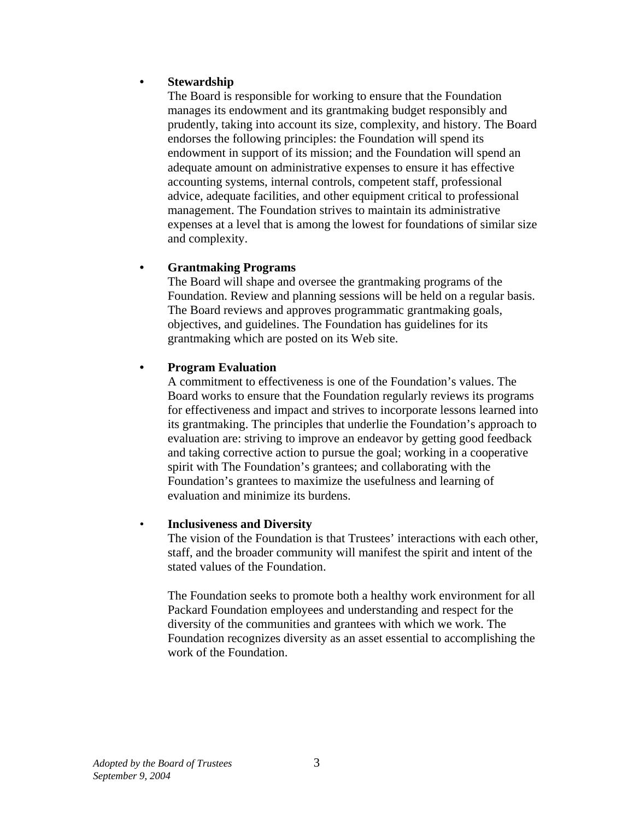### **• Stewardship**

The Board is responsible for working to ensure that the Foundation manages its endowment and its grantmaking budget responsibly and prudently, taking into account its size, complexity, and history. The Board endorses the following principles: the Foundation will spend its endowment in support of its mission; and the Foundation will spend an adequate amount on administrative expenses to ensure it has effective accounting systems, internal controls, competent staff, professional advice, adequate facilities, and other equipment critical to professional management. The Foundation strives to maintain its administrative expenses at a level that is among the lowest for foundations of similar size and complexity.

### **• Grantmaking Programs**

The Board will shape and oversee the grantmaking programs of the Foundation. Review and planning sessions will be held on a regular basis. The Board reviews and approves programmatic grantmaking goals, objectives, and guidelines. The Foundation has guidelines for its grantmaking which are posted on its Web site.

#### **• Program Evaluation**

A commitment to effectiveness is one of the Foundation's values. The Board works to ensure that the Foundation regularly reviews its programs for effectiveness and impact and strives to incorporate lessons learned into its grantmaking. The principles that underlie the Foundation's approach to evaluation are: striving to improve an endeavor by getting good feedback and taking corrective action to pursue the goal; working in a cooperative spirit with The Foundation's grantees; and collaborating with the Foundation's grantees to maximize the usefulness and learning of evaluation and minimize its burdens.

#### • **Inclusiveness and Diversity**

The vision of the Foundation is that Trustees' interactions with each other, staff, and the broader community will manifest the spirit and intent of the stated values of the Foundation.

The Foundation seeks to promote both a healthy work environment for all Packard Foundation employees and understanding and respect for the diversity of the communities and grantees with which we work. The Foundation recognizes diversity as an asset essential to accomplishing the work of the Foundation.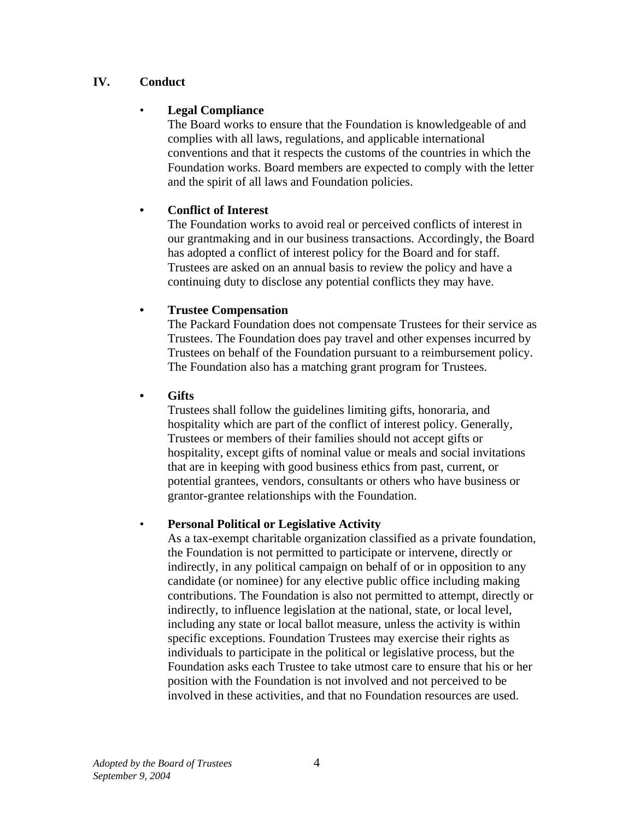## **IV. Conduct**

## • **Legal Compliance**

The Board works to ensure that the Foundation is knowledgeable of and complies with all laws, regulations, and applicable international conventions and that it respects the customs of the countries in which the Foundation works. Board members are expected to comply with the letter and the spirit of all laws and Foundation policies.

## **• Conflict of Interest**

The Foundation works to avoid real or perceived conflicts of interest in our grantmaking and in our business transactions. Accordingly, the Board has adopted a conflict of interest policy for the Board and for staff. Trustees are asked on an annual basis to review the policy and have a continuing duty to disclose any potential conflicts they may have.

## **• Trustee Compensation**

The Packard Foundation does not compensate Trustees for their service as Trustees. The Foundation does pay travel and other expenses incurred by Trustees on behalf of the Foundation pursuant to a reimbursement policy. The Foundation also has a matching grant program for Trustees.

### **• Gifts**

Trustees shall follow the guidelines limiting gifts, honoraria, and hospitality which are part of the conflict of interest policy. Generally, Trustees or members of their families should not accept gifts or hospitality, except gifts of nominal value or meals and social invitations that are in keeping with good business ethics from past, current, or potential grantees, vendors, consultants or others who have business or grantor-grantee relationships with the Foundation.

### • **Personal Political or Legislative Activity**

As a tax-exempt charitable organization classified as a private foundation, the Foundation is not permitted to participate or intervene, directly or indirectly, in any political campaign on behalf of or in opposition to any candidate (or nominee) for any elective public office including making contributions. The Foundation is also not permitted to attempt, directly or indirectly, to influence legislation at the national, state, or local level, including any state or local ballot measure, unless the activity is within specific exceptions. Foundation Trustees may exercise their rights as individuals to participate in the political or legislative process, but the Foundation asks each Trustee to take utmost care to ensure that his or her position with the Foundation is not involved and not perceived to be involved in these activities, and that no Foundation resources are used.